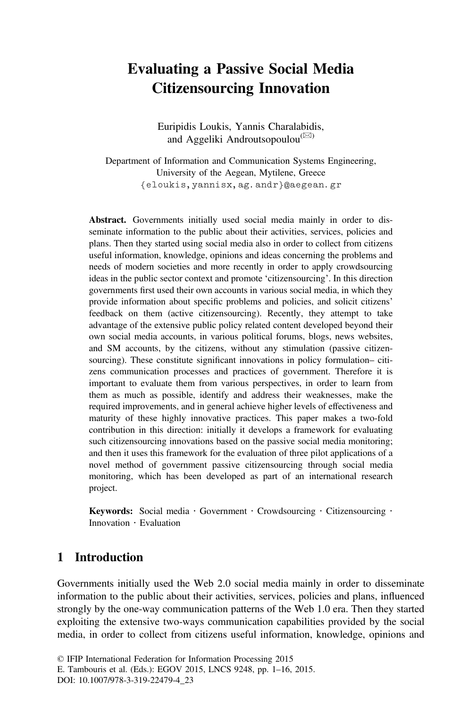# Evaluating a Passive Social Media Citizensourcing Innovation

Euripidis Loukis, Yannis Charalabidis, and Aggeliki Androutsopoulou<sup>( $\boxtimes$ )</sup>

Department of Information and Communication Systems Engineering, University of the Aegean, Mytilene, Greece {eloukis,yannisx,ag.andr}@aegean.gr

Abstract. Governments initially used social media mainly in order to disseminate information to the public about their activities, services, policies and plans. Then they started using social media also in order to collect from citizens useful information, knowledge, opinions and ideas concerning the problems and needs of modern societies and more recently in order to apply crowdsourcing ideas in the public sector context and promote 'citizensourcing'. In this direction governments first used their own accounts in various social media, in which they provide information about specific problems and policies, and solicit citizens' feedback on them (active citizensourcing). Recently, they attempt to take advantage of the extensive public policy related content developed beyond their own social media accounts, in various political forums, blogs, news websites, and SM accounts, by the citizens, without any stimulation (passive citizensourcing). These constitute significant innovations in policy formulation– citizens communication processes and practices of government. Therefore it is important to evaluate them from various perspectives, in order to learn from them as much as possible, identify and address their weaknesses, make the required improvements, and in general achieve higher levels of effectiveness and maturity of these highly innovative practices. This paper makes a two-fold contribution in this direction: initially it develops a framework for evaluating such citizensourcing innovations based on the passive social media monitoring; and then it uses this framework for the evaluation of three pilot applications of a novel method of government passive citizensourcing through social media monitoring, which has been developed as part of an international research project.

Keywords: Social media  $\cdot$  Government  $\cdot$  Crowdsourcing  $\cdot$  Citizensourcing  $\cdot$  Innovation  $\cdot$  Evaluation

# 1 Introduction

Governments initially used the Web 2.0 social media mainly in order to disseminate information to the public about their activities, services, policies and plans, influenced strongly by the one-way communication patterns of the Web 1.0 era. Then they started exploiting the extensive two-ways communication capabilities provided by the social media, in order to collect from citizens useful information, knowledge, opinions and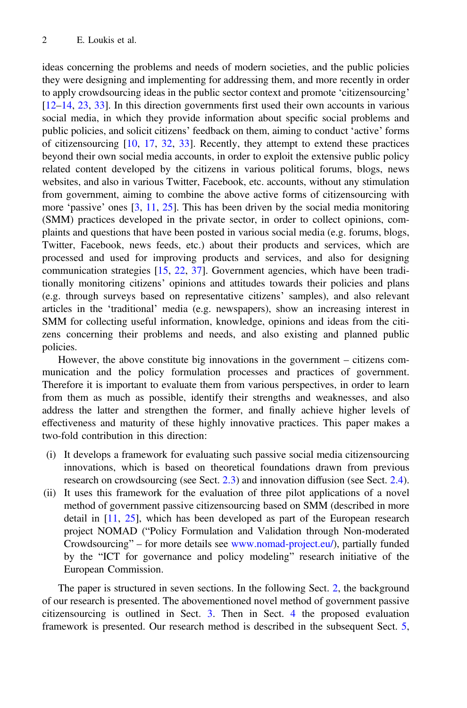ideas concerning the problems and needs of modern societies, and the public policies they were designing and implementing for addressing them, and more recently in order to apply crowdsourcing ideas in the public sector context and promote 'citizensourcing' [[12](#page-14-0)–[14,](#page-14-0) [23](#page-14-0), [33\]](#page-15-0). In this direction governments first used their own accounts in various social media, in which they provide information about specific social problems and public policies, and solicit citizens' feedback on them, aiming to conduct 'active' forms of citizensourcing [\[10](#page-14-0), [17,](#page-14-0) [32](#page-15-0), [33\]](#page-15-0). Recently, they attempt to extend these practices beyond their own social media accounts, in order to exploit the extensive public policy related content developed by the citizens in various political forums, blogs, news websites, and also in various Twitter, Facebook, etc. accounts, without any stimulation from government, aiming to combine the above active forms of citizensourcing with more 'passive' ones [[3,](#page-13-0) [11](#page-14-0), [25\]](#page-14-0). This has been driven by the social media monitoring (SMM) practices developed in the private sector, in order to collect opinions, complaints and questions that have been posted in various social media (e.g. forums, blogs, Twitter, Facebook, news feeds, etc.) about their products and services, which are processed and used for improving products and services, and also for designing communication strategies [\[15](#page-14-0), [22](#page-14-0), [37](#page-15-0)]. Government agencies, which have been traditionally monitoring citizens' opinions and attitudes towards their policies and plans (e.g. through surveys based on representative citizens' samples), and also relevant articles in the 'traditional' media (e.g. newspapers), show an increasing interest in SMM for collecting useful information, knowledge, opinions and ideas from the citizens concerning their problems and needs, and also existing and planned public policies.

However, the above constitute big innovations in the government – citizens communication and the policy formulation processes and practices of government. Therefore it is important to evaluate them from various perspectives, in order to learn from them as much as possible, identify their strengths and weaknesses, and also address the latter and strengthen the former, and finally achieve higher levels of effectiveness and maturity of these highly innovative practices. This paper makes a two-fold contribution in this direction:

- (i) It develops a framework for evaluating such passive social media citizensourcing innovations, which is based on theoretical foundations drawn from previous research on crowdsourcing (see Sect. [2.3](#page-3-0)) and innovation diffusion (see Sect. [2.4\)](#page-4-0).
- (ii) It uses this framework for the evaluation of three pilot applications of a novel method of government passive citizensourcing based on SMM (described in more detail in [\[11](#page-14-0), [25\]](#page-14-0), which has been developed as part of the European research project NOMAD ("Policy Formulation and Validation through Non-moderated Crowdsourcing" – for more details see [www.nomad-project.eu/\)](http://www.nomad-project.eu/), partially funded by the "ICT for governance and policy modeling" research initiative of the European Commission.

The paper is structured in seven sections. In the following Sect. [2](#page-2-0), the background of our research is presented. The abovementioned novel method of government passive citizensourcing is outlined in Sect. [3](#page-5-0). Then in Sect. [4](#page-7-0) the proposed evaluation framework is presented. Our research method is described in the subsequent Sect. [5](#page-7-0),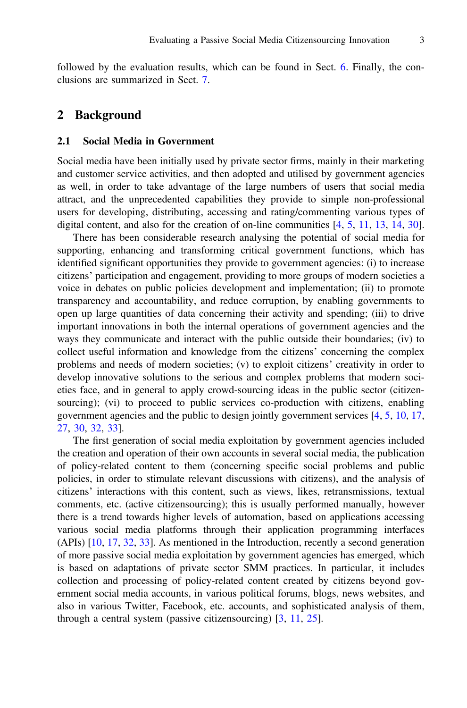<span id="page-2-0"></span>followed by the evaluation results, which can be found in Sect. [6.](#page-9-0) Finally, the conclusions are summarized in Sect. [7](#page-12-0).

### 2 Background

#### 2.1 Social Media in Government

Social media have been initially used by private sector firms, mainly in their marketing and customer service activities, and then adopted and utilised by government agencies as well, in order to take advantage of the large numbers of users that social media attract, and the unprecedented capabilities they provide to simple non-professional users for developing, distributing, accessing and rating/commenting various types of digital content, and also for the creation of on-line communities [[4,](#page-13-0) [5](#page-13-0), [11,](#page-14-0) [13](#page-14-0), [14](#page-14-0), [30\]](#page-15-0).

There has been considerable research analysing the potential of social media for supporting, enhancing and transforming critical government functions, which has identified significant opportunities they provide to government agencies: (i) to increase citizens' participation and engagement, providing to more groups of modern societies a voice in debates on public policies development and implementation; (ii) to promote transparency and accountability, and reduce corruption, by enabling governments to open up large quantities of data concerning their activity and spending; (iii) to drive important innovations in both the internal operations of government agencies and the ways they communicate and interact with the public outside their boundaries; (iv) to collect useful information and knowledge from the citizens' concerning the complex problems and needs of modern societies; (v) to exploit citizens' creativity in order to develop innovative solutions to the serious and complex problems that modern societies face, and in general to apply crowd-sourcing ideas in the public sector (citizensourcing); (vi) to proceed to public services co-production with citizens, enabling government agencies and the public to design jointly government services [\[4](#page-13-0), [5](#page-13-0), [10](#page-14-0), [17](#page-14-0), [27,](#page-14-0) [30,](#page-15-0) [32](#page-15-0), [33](#page-15-0)].

The first generation of social media exploitation by government agencies included the creation and operation of their own accounts in several social media, the publication of policy-related content to them (concerning specific social problems and public policies, in order to stimulate relevant discussions with citizens), and the analysis of citizens' interactions with this content, such as views, likes, retransmissions, textual comments, etc. (active citizensourcing); this is usually performed manually, however there is a trend towards higher levels of automation, based on applications accessing various social media platforms through their application programming interfaces (APIs) [[10,](#page-14-0) [17,](#page-14-0) [32](#page-15-0), [33](#page-15-0)]. As mentioned in the Introduction, recently a second generation of more passive social media exploitation by government agencies has emerged, which is based on adaptations of private sector SMM practices. In particular, it includes collection and processing of policy-related content created by citizens beyond government social media accounts, in various political forums, blogs, news websites, and also in various Twitter, Facebook, etc. accounts, and sophisticated analysis of them, through a central system (passive citizensourcing) [\[3](#page-13-0), [11](#page-14-0), [25\]](#page-14-0).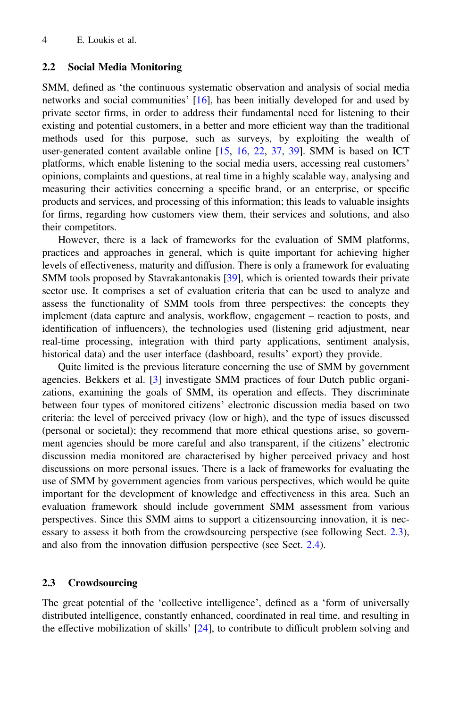#### <span id="page-3-0"></span>2.2 Social Media Monitoring

SMM, defined as 'the continuous systematic observation and analysis of social media networks and social communities' [[16\]](#page-14-0), has been initially developed for and used by private sector firms, in order to address their fundamental need for listening to their existing and potential customers, in a better and more efficient way than the traditional methods used for this purpose, such as surveys, by exploiting the wealth of user-generated content available online [\[15](#page-14-0), [16,](#page-14-0) [22,](#page-14-0) [37](#page-15-0), [39\]](#page-15-0). SMM is based on ICT platforms, which enable listening to the social media users, accessing real customers' opinions, complaints and questions, at real time in a highly scalable way, analysing and measuring their activities concerning a specific brand, or an enterprise, or specific products and services, and processing of this information; this leads to valuable insights for firms, regarding how customers view them, their services and solutions, and also their competitors.

However, there is a lack of frameworks for the evaluation of SMM platforms, practices and approaches in general, which is quite important for achieving higher levels of effectiveness, maturity and diffusion. There is only a framework for evaluating SMM tools proposed by Stavrakantonakis [[39\]](#page-15-0), which is oriented towards their private sector use. It comprises a set of evaluation criteria that can be used to analyze and assess the functionality of SMM tools from three perspectives: the concepts they implement (data capture and analysis, workflow, engagement – reaction to posts, and identification of influencers), the technologies used (listening grid adjustment, near real-time processing, integration with third party applications, sentiment analysis, historical data) and the user interface (dashboard, results' export) they provide.

Quite limited is the previous literature concerning the use of SMM by government agencies. Bekkers et al. [[3\]](#page-13-0) investigate SMM practices of four Dutch public organizations, examining the goals of SMM, its operation and effects. They discriminate between four types of monitored citizens' electronic discussion media based on two criteria: the level of perceived privacy (low or high), and the type of issues discussed (personal or societal); they recommend that more ethical questions arise, so government agencies should be more careful and also transparent, if the citizens' electronic discussion media monitored are characterised by higher perceived privacy and host discussions on more personal issues. There is a lack of frameworks for evaluating the use of SMM by government agencies from various perspectives, which would be quite important for the development of knowledge and effectiveness in this area. Such an evaluation framework should include government SMM assessment from various perspectives. Since this SMM aims to support a citizensourcing innovation, it is necessary to assess it both from the crowdsourcing perspective (see following Sect. 2.3), and also from the innovation diffusion perspective (see Sect. [2.4](#page-4-0)).

### 2.3 Crowdsourcing

The great potential of the 'collective intelligence', defined as a 'form of universally distributed intelligence, constantly enhanced, coordinated in real time, and resulting in the effective mobilization of skills' [[24\]](#page-14-0), to contribute to difficult problem solving and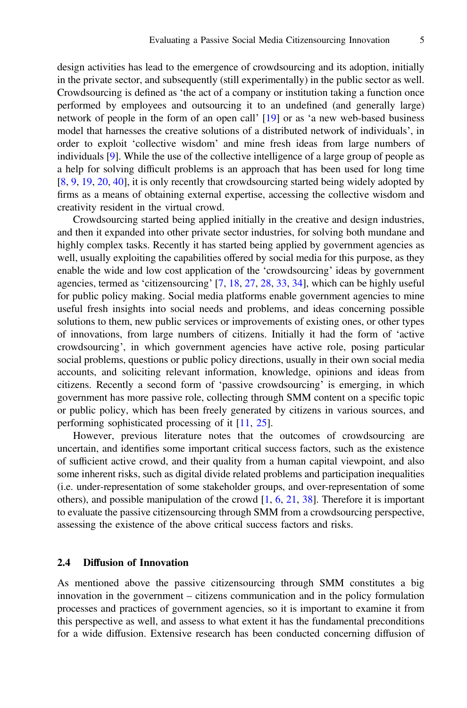<span id="page-4-0"></span>design activities has lead to the emergence of crowdsourcing and its adoption, initially in the private sector, and subsequently (still experimentally) in the public sector as well. Crowdsourcing is defined as 'the act of a company or institution taking a function once performed by employees and outsourcing it to an undefined (and generally large) network of people in the form of an open call' [\[19](#page-14-0)] or as 'a new web-based business model that harnesses the creative solutions of a distributed network of individuals', in order to exploit 'collective wisdom' and mine fresh ideas from large numbers of individuals [\[9](#page-14-0)]. While the use of the collective intelligence of a large group of people as a help for solving difficult problems is an approach that has been used for long time [\[8](#page-14-0), [9,](#page-14-0) [19,](#page-14-0) [20,](#page-14-0) [40](#page-15-0)], it is only recently that crowdsourcing started being widely adopted by firms as a means of obtaining external expertise, accessing the collective wisdom and creativity resident in the virtual crowd.

Crowdsourcing started being applied initially in the creative and design industries, and then it expanded into other private sector industries, for solving both mundane and highly complex tasks. Recently it has started being applied by government agencies as well, usually exploiting the capabilities offered by social media for this purpose, as they enable the wide and low cost application of the 'crowdsourcing' ideas by government agencies, termed as 'citizensourcing' [[7,](#page-13-0) [18](#page-14-0), [27](#page-14-0), [28](#page-14-0), [33](#page-15-0), [34](#page-15-0)], which can be highly useful for public policy making. Social media platforms enable government agencies to mine useful fresh insights into social needs and problems, and ideas concerning possible solutions to them, new public services or improvements of existing ones, or other types of innovations, from large numbers of citizens. Initially it had the form of 'active crowdsourcing', in which government agencies have active role, posing particular social problems, questions or public policy directions, usually in their own social media accounts, and soliciting relevant information, knowledge, opinions and ideas from citizens. Recently a second form of 'passive crowdsourcing' is emerging, in which government has more passive role, collecting through SMM content on a specific topic or public policy, which has been freely generated by citizens in various sources, and performing sophisticated processing of it [[11,](#page-14-0) [25](#page-14-0)].

However, previous literature notes that the outcomes of crowdsourcing are uncertain, and identifies some important critical success factors, such as the existence of sufficient active crowd, and their quality from a human capital viewpoint, and also some inherent risks, such as digital divide related problems and participation inequalities (i.e. under-representation of some stakeholder groups, and over-representation of some others), and possible manipulation of the crowd [[1,](#page-13-0) [6](#page-13-0), [21](#page-14-0), [38\]](#page-15-0). Therefore it is important to evaluate the passive citizensourcing through SMM from a crowdsourcing perspective, assessing the existence of the above critical success factors and risks.

### 2.4 Diffusion of Innovation

As mentioned above the passive citizensourcing through SMM constitutes a big innovation in the government – citizens communication and in the policy formulation processes and practices of government agencies, so it is important to examine it from this perspective as well, and assess to what extent it has the fundamental preconditions for a wide diffusion. Extensive research has been conducted concerning diffusion of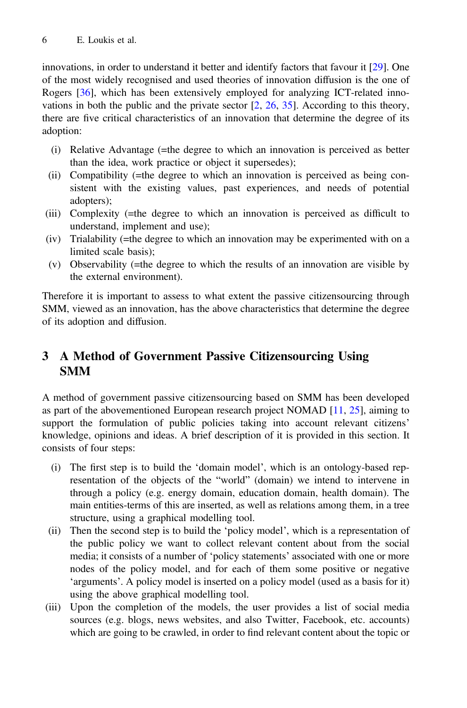<span id="page-5-0"></span>innovations, in order to understand it better and identify factors that favour it [[29\]](#page-14-0). One of the most widely recognised and used theories of innovation diffusion is the one of Rogers [\[36](#page-15-0)], which has been extensively employed for analyzing ICT-related innovations in both the public and the private sector  $[2, 26, 35]$  $[2, 26, 35]$  $[2, 26, 35]$  $[2, 26, 35]$  $[2, 26, 35]$ . According to this theory, there are five critical characteristics of an innovation that determine the degree of its adoption:

- (i) Relative Advantage (=the degree to which an innovation is perceived as better than the idea, work practice or object it supersedes);
- (ii) Compatibility (=the degree to which an innovation is perceived as being consistent with the existing values, past experiences, and needs of potential adopters);
- (iii) Complexity (=the degree to which an innovation is perceived as difficult to understand, implement and use);
- (iv) Trialability (=the degree to which an innovation may be experimented with on a limited scale basis);
- (v) Observability (=the degree to which the results of an innovation are visible by the external environment).

Therefore it is important to assess to what extent the passive citizensourcing through SMM, viewed as an innovation, has the above characteristics that determine the degree of its adoption and diffusion.

# 3 A Method of Government Passive Citizensourcing Using SMM

A method of government passive citizensourcing based on SMM has been developed as part of the abovementioned European research project NOMAD [[11,](#page-14-0) [25\]](#page-14-0), aiming to support the formulation of public policies taking into account relevant citizens' knowledge, opinions and ideas. A brief description of it is provided in this section. It consists of four steps:

- (i) The first step is to build the 'domain model', which is an ontology-based representation of the objects of the "world" (domain) we intend to intervene in through a policy (e.g. energy domain, education domain, health domain). The main entities-terms of this are inserted, as well as relations among them, in a tree structure, using a graphical modelling tool.
- (ii) Then the second step is to build the 'policy model', which is a representation of the public policy we want to collect relevant content about from the social media; it consists of a number of 'policy statements' associated with one or more nodes of the policy model, and for each of them some positive or negative 'arguments'. A policy model is inserted on a policy model (used as a basis for it) using the above graphical modelling tool.
- (iii) Upon the completion of the models, the user provides a list of social media sources (e.g. blogs, news websites, and also Twitter, Facebook, etc. accounts) which are going to be crawled, in order to find relevant content about the topic or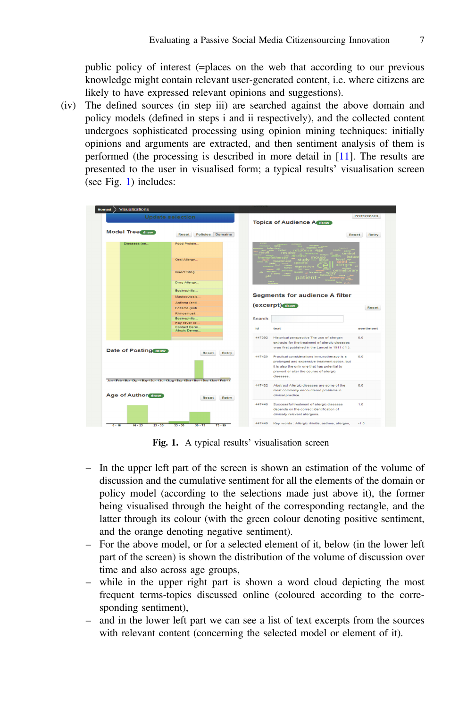<span id="page-6-0"></span>public policy of interest (=places on the web that according to our previous knowledge might contain relevant user-generated content, i.e. where citizens are likely to have expressed relevant opinions and suggestions).

(iv) The defined sources (in step iii) are searched against the above domain and policy models (defined in steps i and ii respectively), and the collected content undergoes sophisticated processing using opinion mining techniques: initially opinions and arguments are extracted, and then sentiment analysis of them is performed (the processing is described in more detail in [\[11](#page-14-0)]. The results are presented to the user in visualised form; a typical results' visualisation screen (see Fig. 1) includes:



Fig. 1. A typical results' visualisation screen

- In the upper left part of the screen is shown an estimation of the volume of discussion and the cumulative sentiment for all the elements of the domain or policy model (according to the selections made just above it), the former being visualised through the height of the corresponding rectangle, and the latter through its colour (with the green colour denoting positive sentiment, and the orange denoting negative sentiment).
- For the above model, or for a selected element of it, below (in the lower left part of the screen) is shown the distribution of the volume of discussion over time and also across age groups,
- while in the upper right part is shown a word cloud depicting the most frequent terms-topics discussed online (coloured according to the corresponding sentiment),
- and in the lower left part we can see a list of text excerpts from the sources with relevant content (concerning the selected model or element of it).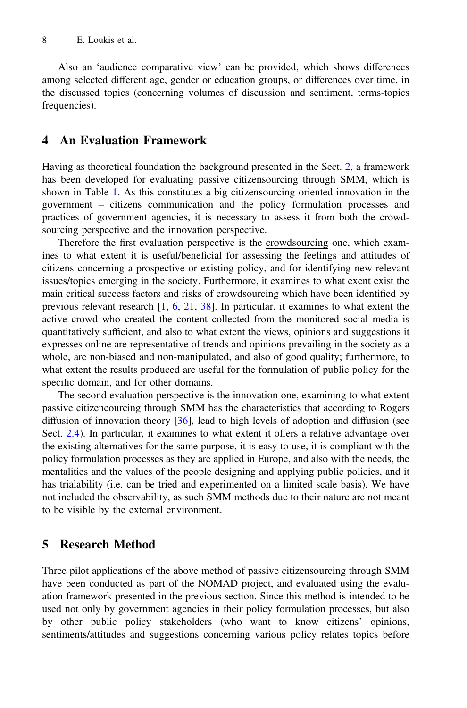<span id="page-7-0"></span>Also an 'audience comparative view' can be provided, which shows differences among selected different age, gender or education groups, or differences over time, in the discussed topics (concerning volumes of discussion and sentiment, terms-topics frequencies).

### 4 An Evaluation Framework

Having as theoretical foundation the background presented in the Sect. [2,](#page-2-0) a framework has been developed for evaluating passive citizensourcing through SMM, which is shown in Table [1.](#page-10-0) As this constitutes a big citizensourcing oriented innovation in the government – citizens communication and the policy formulation processes and practices of government agencies, it is necessary to assess it from both the crowdsourcing perspective and the innovation perspective.

Therefore the first evaluation perspective is the crowdsourcing one, which examines to what extent it is useful/beneficial for assessing the feelings and attitudes of citizens concerning a prospective or existing policy, and for identifying new relevant issues/topics emerging in the society. Furthermore, it examines to what exent exist the main critical success factors and risks of crowdsourcing which have been identified by previous relevant research [\[1](#page-13-0), [6](#page-13-0), [21](#page-14-0), [38\]](#page-15-0). In particular, it examines to what extent the active crowd who created the content collected from the monitored social media is quantitatively sufficient, and also to what extent the views, opinions and suggestions it expresses online are representative of trends and opinions prevailing in the society as a whole, are non-biased and non-manipulated, and also of good quality; furthermore, to what extent the results produced are useful for the formulation of public policy for the specific domain, and for other domains.

The second evaluation perspective is the innovation one, examining to what extent passive citizencourcing through SMM has the characteristics that according to Rogers diffusion of innovation theory [\[36](#page-15-0)], lead to high levels of adoption and diffusion (see Sect. [2.4\)](#page-4-0). In particular, it examines to what extent it offers a relative advantage over the existing alternatives for the same purpose, it is easy to use, it is compliant with the policy formulation processes as they are applied in Europe, and also with the needs, the mentalities and the values of the people designing and applying public policies, and it has trialability (i.e. can be tried and experimented on a limited scale basis). We have not included the observability, as such SMM methods due to their nature are not meant to be visible by the external environment.

# 5 Research Method

Three pilot applications of the above method of passive citizensourcing through SMM have been conducted as part of the NOMAD project, and evaluated using the evaluation framework presented in the previous section. Since this method is intended to be used not only by government agencies in their policy formulation processes, but also by other public policy stakeholders (who want to know citizens' opinions, sentiments/attitudes and suggestions concerning various policy relates topics before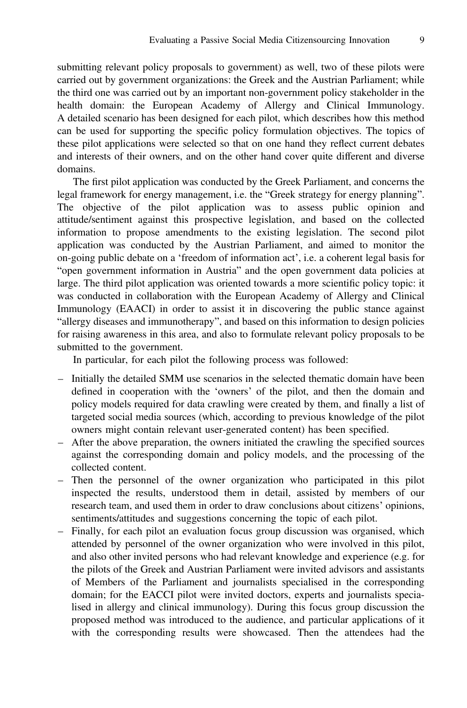submitting relevant policy proposals to government) as well, two of these pilots were carried out by government organizations: the Greek and the Austrian Parliament; while the third one was carried out by an important non-government policy stakeholder in the health domain: the European Academy of Allergy and Clinical Immunology. A detailed scenario has been designed for each pilot, which describes how this method can be used for supporting the specific policy formulation objectives. The topics of these pilot applications were selected so that on one hand they reflect current debates and interests of their owners, and on the other hand cover quite different and diverse domains.

The first pilot application was conducted by the Greek Parliament, and concerns the legal framework for energy management, i.e. the "Greek strategy for energy planning". The objective of the pilot application was to assess public opinion and attitude/sentiment against this prospective legislation, and based on the collected information to propose amendments to the existing legislation. The second pilot application was conducted by the Austrian Parliament, and aimed to monitor the on-going public debate on a 'freedom of information act', i.e. a coherent legal basis for "open government information in Austria" and the open government data policies at large. The third pilot application was oriented towards a more scientific policy topic: it was conducted in collaboration with the European Academy of Allergy and Clinical Immunology (EAACI) in order to assist it in discovering the public stance against "allergy diseases and immunotherapy", and based on this information to design policies for raising awareness in this area, and also to formulate relevant policy proposals to be submitted to the government.

In particular, for each pilot the following process was followed:

- Initially the detailed SMM use scenarios in the selected thematic domain have been defined in cooperation with the 'owners' of the pilot, and then the domain and policy models required for data crawling were created by them, and finally a list of targeted social media sources (which, according to previous knowledge of the pilot owners might contain relevant user-generated content) has been specified.
- After the above preparation, the owners initiated the crawling the specified sources against the corresponding domain and policy models, and the processing of the collected content.
- Then the personnel of the owner organization who participated in this pilot inspected the results, understood them in detail, assisted by members of our research team, and used them in order to draw conclusions about citizens' opinions, sentiments/attitudes and suggestions concerning the topic of each pilot.
- Finally, for each pilot an evaluation focus group discussion was organised, which attended by personnel of the owner organization who were involved in this pilot, and also other invited persons who had relevant knowledge and experience (e.g. for the pilots of the Greek and Austrian Parliament were invited advisors and assistants of Members of the Parliament and journalists specialised in the corresponding domain; for the EACCI pilot were invited doctors, experts and journalists specialised in allergy and clinical immunology). During this focus group discussion the proposed method was introduced to the audience, and particular applications of it with the corresponding results were showcased. Then the attendees had the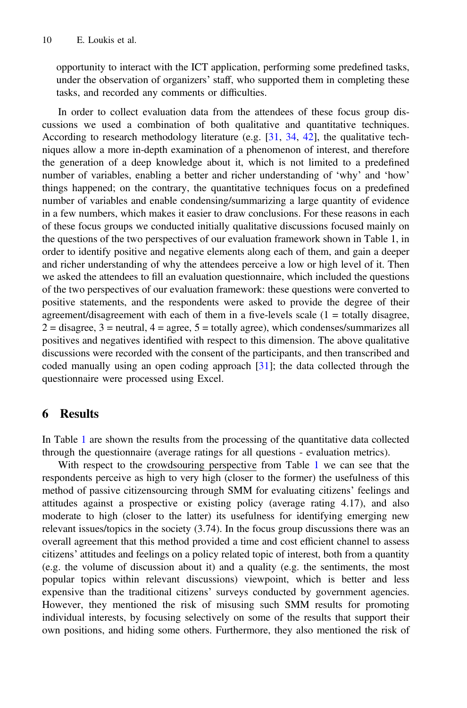<span id="page-9-0"></span>opportunity to interact with the ICT application, performing some predefined tasks, under the observation of organizers' staff, who supported them in completing these tasks, and recorded any comments or difficulties.

In order to collect evaluation data from the attendees of these focus group discussions we used a combination of both qualitative and quantitative techniques. According to research methodology literature (e.g. [[31,](#page-15-0) [34](#page-15-0), [42](#page-15-0)], the qualitative techniques allow a more in-depth examination of a phenomenon of interest, and therefore the generation of a deep knowledge about it, which is not limited to a predefined number of variables, enabling a better and richer understanding of 'why' and 'how' things happened; on the contrary, the quantitative techniques focus on a predefined number of variables and enable condensing/summarizing a large quantity of evidence in a few numbers, which makes it easier to draw conclusions. For these reasons in each of these focus groups we conducted initially qualitative discussions focused mainly on the questions of the two perspectives of our evaluation framework shown in Table 1, in order to identify positive and negative elements along each of them, and gain a deeper and richer understanding of why the attendees perceive a low or high level of it. Then we asked the attendees to fill an evaluation questionnaire, which included the questions of the two perspectives of our evaluation framework: these questions were converted to positive statements, and the respondents were asked to provide the degree of their agreement/disagreement with each of them in a five-levels scale (1 = totally disagree,  $2 =$  disagree,  $3 =$  neutral,  $4 =$  agree,  $5 =$  totally agree), which condenses/summarizes all positives and negatives identified with respect to this dimension. The above qualitative discussions were recorded with the consent of the participants, and then transcribed and coded manually using an open coding approach [[31\]](#page-15-0); the data collected through the questionnaire were processed using Excel.

# 6 Results

In Table [1](#page-10-0) are shown the results from the processing of the quantitative data collected through the questionnaire (average ratings for all questions - evaluation metrics).

With respect to the crowdsouring perspective from Table [1](#page-10-0) we can see that the respondents perceive as high to very high (closer to the former) the usefulness of this method of passive citizensourcing through SMM for evaluating citizens' feelings and attitudes against a prospective or existing policy (average rating 4.17), and also moderate to high (closer to the latter) its usefulness for identifying emerging new relevant issues/topics in the society (3.74). In the focus group discussions there was an overall agreement that this method provided a time and cost efficient channel to assess citizens' attitudes and feelings on a policy related topic of interest, both from a quantity (e.g. the volume of discussion about it) and a quality (e.g. the sentiments, the most popular topics within relevant discussions) viewpoint, which is better and less expensive than the traditional citizens' surveys conducted by government agencies. However, they mentioned the risk of misusing such SMM results for promoting individual interests, by focusing selectively on some of the results that support their own positions, and hiding some others. Furthermore, they also mentioned the risk of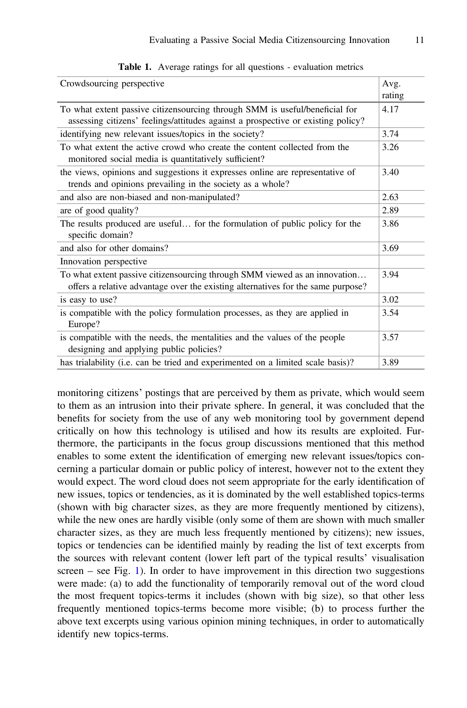<span id="page-10-0"></span>

| Crowdsourcing perspective                                                                                                                                        | Avg.<br>rating |
|------------------------------------------------------------------------------------------------------------------------------------------------------------------|----------------|
| To what extent passive citizens ourcing through SMM is useful/beneficial for<br>assessing citizens' feelings/attitudes against a prospective or existing policy? | 4.17           |
| identifying new relevant issues/topics in the society?                                                                                                           | 3.74           |
| To what extent the active crowd who create the content collected from the<br>monitored social media is quantitatively sufficient?                                | 3.26           |
| the views, opinions and suggestions it expresses online are representative of<br>trends and opinions prevailing in the society as a whole?                       | 3.40           |
| and also are non-biased and non-manipulated?                                                                                                                     | 2.63           |
| are of good quality?                                                                                                                                             | 2.89           |
| The results produced are useful for the formulation of public policy for the<br>specific domain?                                                                 | 3.86           |
| and also for other domains?                                                                                                                                      | 3.69           |
| Innovation perspective                                                                                                                                           |                |
| To what extent passive citizensourcing through SMM viewed as an innovation<br>offers a relative advantage over the existing alternatives for the same purpose?   | 3.94           |
| is easy to use?                                                                                                                                                  | 3.02           |
| is compatible with the policy formulation processes, as they are applied in<br>Europe?                                                                           | 3.54           |
| is compatible with the needs, the mentalities and the values of the people<br>designing and applying public policies?                                            | 3.57           |
| has trialability (i.e. can be tried and experimented on a limited scale basis)?                                                                                  | 3.89           |

Table 1. Average ratings for all questions - evaluation metrics

monitoring citizens' postings that are perceived by them as private, which would seem to them as an intrusion into their private sphere. In general, it was concluded that the benefits for society from the use of any web monitoring tool by government depend critically on how this technology is utilised and how its results are exploited. Furthermore, the participants in the focus group discussions mentioned that this method enables to some extent the identification of emerging new relevant issues/topics concerning a particular domain or public policy of interest, however not to the extent they would expect. The word cloud does not seem appropriate for the early identification of new issues, topics or tendencies, as it is dominated by the well established topics-terms (shown with big character sizes, as they are more frequently mentioned by citizens), while the new ones are hardly visible (only some of them are shown with much smaller character sizes, as they are much less frequently mentioned by citizens); new issues, topics or tendencies can be identified mainly by reading the list of text excerpts from the sources with relevant content (lower left part of the typical results' visualisation screen – see Fig. [1\)](#page-6-0). In order to have improvement in this direction two suggestions were made: (a) to add the functionality of temporarily removal out of the word cloud the most frequent topics-terms it includes (shown with big size), so that other less frequently mentioned topics-terms become more visible; (b) to process further the above text excerpts using various opinion mining techniques, in order to automatically identify new topics-terms.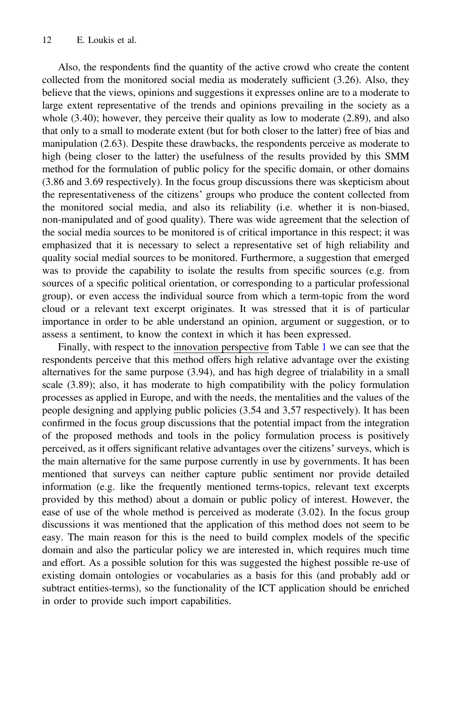Also, the respondents find the quantity of the active crowd who create the content collected from the monitored social media as moderately sufficient (3.26). Also, they believe that the views, opinions and suggestions it expresses online are to a moderate to large extent representative of the trends and opinions prevailing in the society as a whole  $(3.40)$ ; however, they perceive their quality as low to moderate  $(2.89)$ , and also that only to a small to moderate extent (but for both closer to the latter) free of bias and manipulation (2.63). Despite these drawbacks, the respondents perceive as moderate to high (being closer to the latter) the usefulness of the results provided by this SMM method for the formulation of public policy for the specific domain, or other domains (3.86 and 3.69 respectively). In the focus group discussions there was skepticism about the representativeness of the citizens' groups who produce the content collected from the monitored social media, and also its reliability (i.e. whether it is non-biased, non-manipulated and of good quality). There was wide agreement that the selection of the social media sources to be monitored is of critical importance in this respect; it was emphasized that it is necessary to select a representative set of high reliability and quality social medial sources to be monitored. Furthermore, a suggestion that emerged was to provide the capability to isolate the results from specific sources (e.g. from sources of a specific political orientation, or corresponding to a particular professional group), or even access the individual source from which a term-topic from the word cloud or a relevant text excerpt originates. It was stressed that it is of particular importance in order to be able understand an opinion, argument or suggestion, or to assess a sentiment, to know the context in which it has been expressed.

Finally, with respect to the innovation perspective from Table [1](#page-10-0) we can see that the respondents perceive that this method offers high relative advantage over the existing alternatives for the same purpose (3.94), and has high degree of trialability in a small scale (3.89); also, it has moderate to high compatibility with the policy formulation processes as applied in Europe, and with the needs, the mentalities and the values of the people designing and applying public policies (3.54 and 3,57 respectively). It has been confirmed in the focus group discussions that the potential impact from the integration of the proposed methods and tools in the policy formulation process is positively perceived, as it offers significant relative advantages over the citizens' surveys, which is the main alternative for the same purpose currently in use by governments. It has been mentioned that surveys can neither capture public sentiment nor provide detailed information (e.g. like the frequently mentioned terms-topics, relevant text excerpts provided by this method) about a domain or public policy of interest. However, the ease of use of the whole method is perceived as moderate (3.02). In the focus group discussions it was mentioned that the application of this method does not seem to be easy. The main reason for this is the need to build complex models of the specific domain and also the particular policy we are interested in, which requires much time and effort. As a possible solution for this was suggested the highest possible re-use of existing domain ontologies or vocabularies as a basis for this (and probably add or subtract entities-terms), so the functionality of the ICT application should be enriched in order to provide such import capabilities.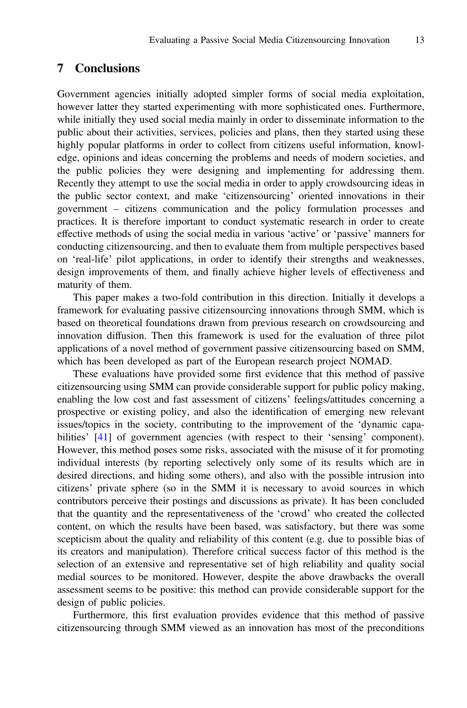# <span id="page-12-0"></span>7 Conclusions

Government agencies initially adopted simpler forms of social media exploitation, however latter they started experimenting with more sophisticated ones. Furthermore, while initially they used social media mainly in order to disseminate information to the public about their activities, services, policies and plans, then they started using these highly popular platforms in order to collect from citizens useful information, knowledge, opinions and ideas concerning the problems and needs of modern societies, and the public policies they were designing and implementing for addressing them. Recently they attempt to use the social media in order to apply crowdsourcing ideas in the public sector context, and make 'citizensourcing' oriented innovations in their government – citizens communication and the policy formulation processes and practices. It is therefore important to conduct systematic research in order to create effective methods of using the social media in various 'active' or 'passive' manners for conducting citizensourcing, and then to evaluate them from multiple perspectives based on 'real-life' pilot applications, in order to identify their strengths and weaknesses, design improvements of them, and finally achieve higher levels of effectiveness and maturity of them.

This paper makes a two-fold contribution in this direction. Initially it develops a framework for evaluating passive citizensourcing innovations through SMM, which is based on theoretical foundations drawn from previous research on crowdsourcing and innovation diffusion. Then this framework is used for the evaluation of three pilot applications of a novel method of government passive citizensourcing based on SMM, which has been developed as part of the European research project NOMAD.

These evaluations have provided some first evidence that this method of passive citizensourcing using SMM can provide considerable support for public policy making, enabling the low cost and fast assessment of citizens' feelings/attitudes concerning a prospective or existing policy, and also the identification of emerging new relevant issues/topics in the society, contributing to the improvement of the 'dynamic capabilities' [[41\]](#page-15-0) of government agencies (with respect to their 'sensing' component). However, this method poses some risks, associated with the misuse of it for promoting individual interests (by reporting selectively only some of its results which are in desired directions, and hiding some others), and also with the possible intrusion into citizens' private sphere (so in the SMM it is necessary to avoid sources in which contributors perceive their postings and discussions as private). It has been concluded that the quantity and the representativeness of the 'crowd' who created the collected content, on which the results have been based, was satisfactory, but there was some scepticism about the quality and reliability of this content (e.g. due to possible bias of its creators and manipulation). Therefore critical success factor of this method is the selection of an extensive and representative set of high reliability and quality social medial sources to be monitored. However, despite the above drawbacks the overall assessment seems to be positive: this method can provide considerable support for the design of public policies.

Furthermore, this first evaluation provides evidence that this method of passive citizensourcing through SMM viewed as an innovation has most of the preconditions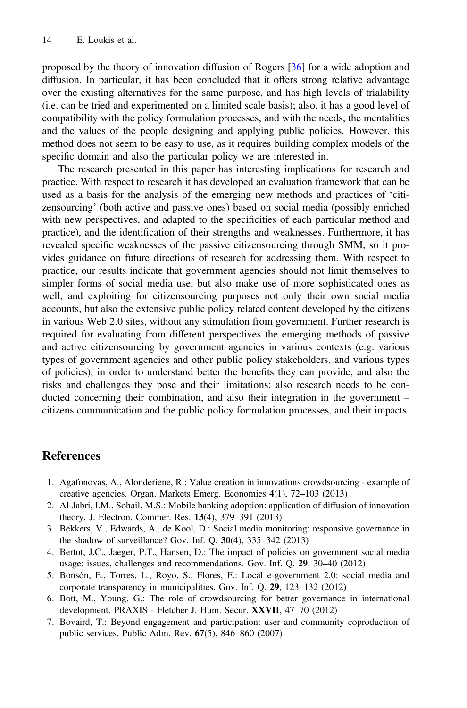<span id="page-13-0"></span>proposed by the theory of innovation diffusion of Rogers [\[36](#page-15-0)] for a wide adoption and diffusion. In particular, it has been concluded that it offers strong relative advantage over the existing alternatives for the same purpose, and has high levels of trialability (i.e. can be tried and experimented on a limited scale basis); also, it has a good level of compatibility with the policy formulation processes, and with the needs, the mentalities and the values of the people designing and applying public policies. However, this method does not seem to be easy to use, as it requires building complex models of the specific domain and also the particular policy we are interested in.

The research presented in this paper has interesting implications for research and practice. With respect to research it has developed an evaluation framework that can be used as a basis for the analysis of the emerging new methods and practices of 'citizensourcing' (both active and passive ones) based on social media (possibly enriched with new perspectives, and adapted to the specificities of each particular method and practice), and the identification of their strengths and weaknesses. Furthermore, it has revealed specific weaknesses of the passive citizensourcing through SMM, so it provides guidance on future directions of research for addressing them. With respect to practice, our results indicate that government agencies should not limit themselves to simpler forms of social media use, but also make use of more sophisticated ones as well, and exploiting for citizensourcing purposes not only their own social media accounts, but also the extensive public policy related content developed by the citizens in various Web 2.0 sites, without any stimulation from government. Further research is required for evaluating from different perspectives the emerging methods of passive and active citizensourcing by government agencies in various contexts (e.g. various types of government agencies and other public policy stakeholders, and various types of policies), in order to understand better the benefits they can provide, and also the risks and challenges they pose and their limitations; also research needs to be conducted concerning their combination, and also their integration in the government – citizens communication and the public policy formulation processes, and their impacts.

# **References**

- 1. Agafonovas, A., Alonderiene, R.: Value creation in innovations crowdsourcing example of creative agencies. Organ. Markets Emerg. Economies 4(1), 72–103 (2013)
- 2. Al-Jabri, I.M., Sohail, M.S.: Mobile banking adoption: application of diffusion of innovation theory. J. Electron. Commer. Res. 13(4), 379–391 (2013)
- 3. Bekkers, V., Edwards, A., de Kool, D.: Social media monitoring: responsive governance in the shadow of surveillance? Gov. Inf. Q. 30(4), 335–342 (2013)
- 4. Bertot, J.C., Jaeger, P.T., Hansen, D.: The impact of policies on government social media usage: issues, challenges and recommendations. Gov. Inf. Q. 29, 30–40 (2012)
- 5. Bonsón, E., Torres, L., Royo, S., Flores, F.: Local e-government 2.0: social media and corporate transparency in municipalities. Gov. Inf. Q. 29, 123–132 (2012)
- 6. Bott, M., Young, G.: The role of crowdsourcing for better governance in international development. PRAXIS - Fletcher J. Hum. Secur. XXVII, 47–70 (2012)
- 7. Bovaird, T.: Beyond engagement and participation: user and community coproduction of public services. Public Adm. Rev. 67(5), 846–860 (2007)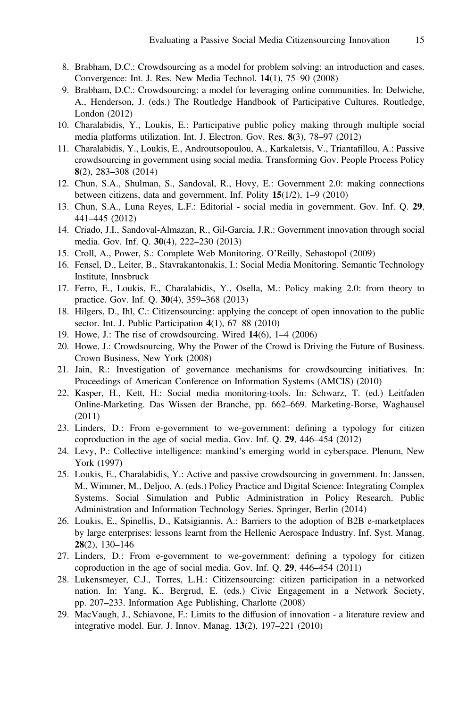- <span id="page-14-0"></span>8. Brabham, D.C.: Crowdsourcing as a model for problem solving: an introduction and cases. Convergence: Int. J. Res. New Media Technol. 14(1), 75–90 (2008)
- 9. Brabham, D.C.: Crowdsourcing: a model for leveraging online communities. In: Delwiche, A., Henderson, J. (eds.) The Routledge Handbook of Participative Cultures. Routledge, London (2012)
- 10. Charalabidis, Y., Loukis, E.: Participative public policy making through multiple social media platforms utilization. Int. J. Electron. Gov. Res. 8(3), 78–97 (2012)
- 11. Charalabidis, Y., Loukis, E., Androutsopoulou, A., Karkaletsis, V., Triantafillou, A.: Passive crowdsourcing in government using social media. Transforming Gov. People Process Policy 8(2), 283–308 (2014)
- 12. Chun, S.A., Shulman, S., Sandoval, R., Hovy, E.: Government 2.0: making connections between citizens, data and government. Inf. Polity 15(1/2), 1–9 (2010)
- 13. Chun, S.A., Luna Reyes, L.F.: Editorial social media in government. Gov. Inf. Q. 29, 441–445 (2012)
- 14. Criado, J.I., Sandoval-Almazan, R., Gil-Garcia, J.R.: Government innovation through social media. Gov. Inf. Q. 30(4), 222–230 (2013)
- 15. Croll, A., Power, S.: Complete Web Monitoring. O'Reilly, Sebastopol (2009)
- 16. Fensel, D., Leiter, B., Stavrakantonakis, I.: Social Media Monitoring. Semantic Technology Institute, Innsbruck
- 17. Ferro, E., Loukis, E., Charalabidis, Y., Osella, M.: Policy making 2.0: from theory to practice. Gov. Inf. Q. 30(4), 359–368 (2013)
- 18. Hilgers, D., Ihl, C.: Citizensourcing: applying the concept of open innovation to the public sector. Int. J. Public Participation 4(1), 67–88 (2010)
- 19. Howe, J.: The rise of crowdsourcing. Wired 14(6), 1–4 (2006)
- 20. Howe, J.: Crowdsourcing, Why the Power of the Crowd is Driving the Future of Business. Crown Business, New York (2008)
- 21. Jain, R.: Investigation of governance mechanisms for crowdsourcing initiatives. In: Proceedings of American Conference on Information Systems (AMCIS) (2010)
- 22. Kasper, H., Kett, H.: Social media monitoring-tools. In: Schwarz, T. (ed.) Leitfaden Online-Marketing. Das Wissen der Branche, pp. 662–669. Marketing-Borse, Waghausel (2011)
- 23. Linders, D.: From e-government to we-government: defining a typology for citizen coproduction in the age of social media. Gov. Inf. Q. 29, 446–454 (2012)
- 24. Levy, P.: Collective intelligence: mankind's emerging world in cyberspace. Plenum, New York (1997)
- 25. Loukis, E., Charalabidis, Y.: Active and passive crowdsourcing in government. In: Janssen, M., Wimmer, M., Deljoo, A. (eds.) Policy Practice and Digital Science: Integrating Complex Systems. Social Simulation and Public Administration in Policy Research. Public Administration and Information Technology Series. Springer, Berlin (2014)
- 26. Loukis, E., Spinellis, D., Katsigiannis, A.: Barriers to the adoption of B2B e-marketplaces by large enterprises: lessons learnt from the Hellenic Aerospace Industry. Inf. Syst. Manag. 28(2), 130–146
- 27. Linders, D.: From e-government to we-government: defining a typology for citizen coproduction in the age of social media. Gov. Inf. Q. 29, 446–454 (2011)
- 28. Lukensmeyer, C.J., Torres, L.H.: Citizensourcing: citizen participation in a networked nation. In: Yang, K., Bergrud, E. (eds.) Civic Engagement in a Network Society, pp. 207–233. Information Age Publishing, Charlotte (2008)
- 29. MacVaugh, J., Schiavone, F.: Limits to the diffusion of innovation a literature review and integrative model. Eur. J. Innov. Manag. 13(2), 197–221 (2010)